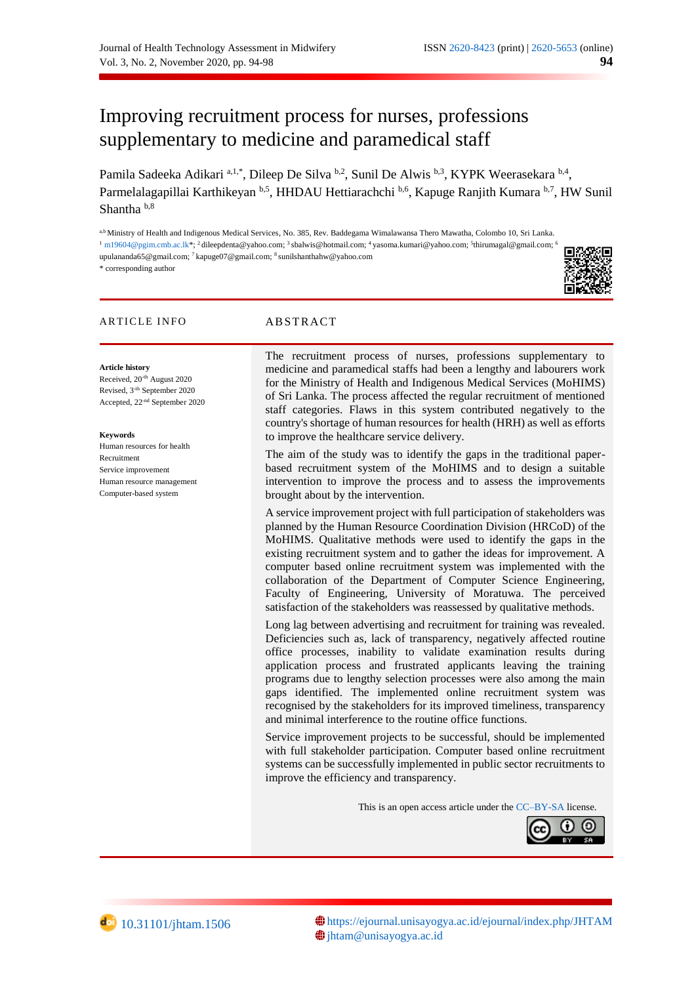# Improving recruitment process for nurses, professions supplementary to medicine and paramedical staff

Pamila Sadeeka Adikari <sup>a,1,\*</sup>, Dileep De Silva <sup>b,2</sup>, Sunil De Alwis <sup>b,3</sup>, KYPK Weerasekara <sup>b,4</sup>, Parmelalagapillai Karthikeyan b,5, HHDAU Hettiarachchi b,6, Kapuge Ranjith Kumara b,7, HW Sunil Shantha b,8

a,b Ministry of Health and Indigenous Medical Services, No. 385, Rev. Baddegama Wimalawansa Thero Mawatha, Colombo 10, Sri Lanka.  $^1$  [m19604@pgim.cmb.ac.lk\\*](mailto:m19604@pgim.cmb.ac.lk);  $^2$  dileepdenta@yahoo.com;  $^3$ sbalwis@hotmail.com;  $^4$ yasoma.kumari@yahoo.com;  $^5$ thirumagal@gmail.com;  $^6$ upulananda65@gmail.com; <sup>7</sup> kapuge07@gmail.com; <sup>8</sup> sunilshanthahw@yahoo.com \* corresponding author

### ARTICLE INFO ABSTRACT

Received, 20-th August 2020 Revised, 3<sup>-th</sup> September 2020 Accepted, 22-nd September 2020

Human resources for health

**Article history**

**Keywords**

Recruitment Service improvement Human resource management Computer-based system

The recruitment process of nurses, professions supplementary to medicine and paramedical staffs had been a lengthy and labourers work for the Ministry of Health and Indigenous Medical Services (MoHIMS) of Sri Lanka. The process affected the regular recruitment of mentioned staff categories. Flaws in this system contributed negatively to the country's shortage of human resources for health (HRH) as well as efforts to improve the healthcare service delivery.

The aim of the study was to identify the gaps in the traditional paperbased recruitment system of the MoHIMS and to design a suitable intervention to improve the process and to assess the improvements brought about by the intervention.

A service improvement project with full participation of stakeholders was planned by the Human Resource Coordination Division (HRCoD) of the MoHIMS. Qualitative methods were used to identify the gaps in the existing recruitment system and to gather the ideas for improvement. A computer based online recruitment system was implemented with the collaboration of the Department of Computer Science Engineering, Faculty of Engineering, University of Moratuwa. The perceived satisfaction of the stakeholders was reassessed by qualitative methods.

Long lag between advertising and recruitment for training was revealed. Deficiencies such as, lack of transparency, negatively affected routine office processes, inability to validate examination results during application process and frustrated applicants leaving the training programs due to lengthy selection processes were also among the main gaps identified. The implemented online recruitment system was recognised by the stakeholders for its improved timeliness, transparency and minimal interference to the routine office functions.

Service improvement projects to be successful, should be implemented with full stakeholder participation. Computer based online recruitment systems can be successfully implemented in public sector recruitments to improve the efficiency and transparency.

This is an open access article under th[e CC–BY-SA](http://creativecommons.org/licenses/by-sa/4.0/) license.



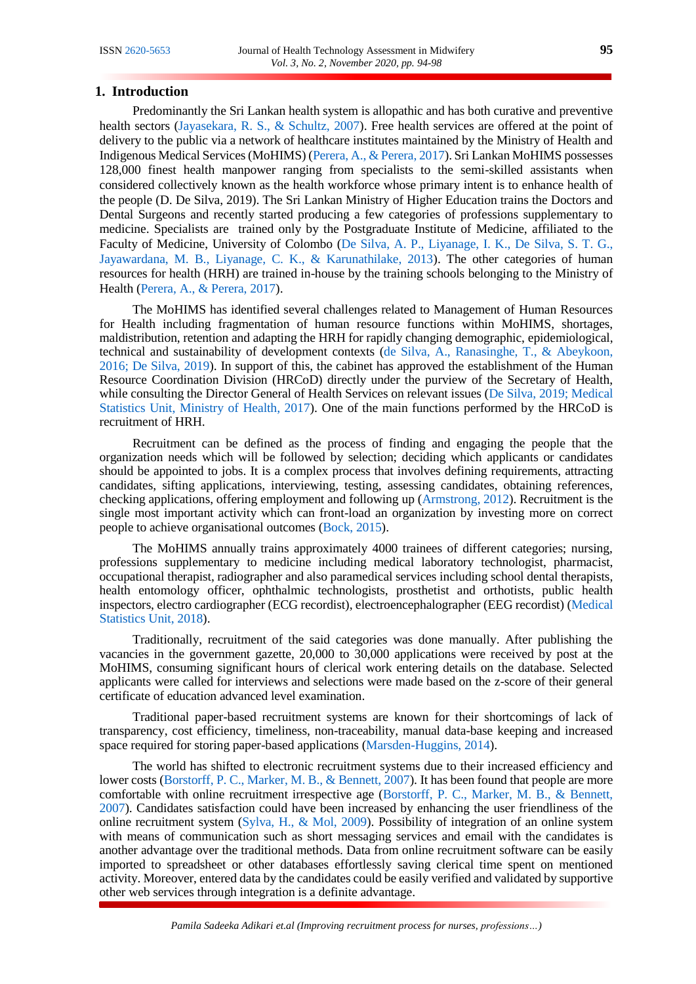## **1. Introduction**

Predominantly the Sri Lankan health system is allopathic and has both curative and preventive health sectors [\(Jayasekara, R. S., & Schultz, 2007\)](#page-4-0). Free health services are offered at the point of delivery to the public via a network of healthcare institutes maintained by the Ministry of Health and Indigenous Medical Services (MoHIMS) [\(Perera, A., & Perera, 2017\)](#page-4-1). Sri Lankan MoHIMS possesses 128,000 finest health manpower ranging from specialists to the semi-skilled assistants when considered collectively known as the health workforce whose primary intent is to enhance health of the people (D. De Silva, 2019). The Sri Lankan Ministry of Higher Education trains the Doctors and Dental Surgeons and recently started producing a few categories of professions supplementary to medicine. Specialists are trained only by the Postgraduate Institute of Medicine, affiliated to the Faculty of Medicine, University of Colombo [\(De Silva, A. P., Liyanage, I. K., De Silva, S. T. G.,](#page-4-2)  [Jayawardana, M. B., Liyanage, C. K., & Karunathilake, 2013\)](#page-4-2). The other categories of human resources for health (HRH) are trained in-house by the training schools belonging to the Ministry of Health [\(Perera, A., & Perera, 2017\)](#page-4-1).

The MoHIMS has identified several challenges related to Management of Human Resources for Health including fragmentation of human resource functions within MoHIMS, shortages, maldistribution, retention and adapting the HRH for rapidly changing demographic, epidemiological, technical and sustainability of development contexts [\(de Silva, A., Ranasinghe, T., & Abeykoon,](#page-4-3)  [2016; De Silva, 2019\)](#page-4-3). In support of this, the cabinet has approved the establishment of the Human Resource Coordination Division (HRCoD) directly under the purview of the Secretary of Health, while consulting the Director General of Health Services on relevant issues [\(De Silva, 2019; Medical](#page-4-3)  [Statistics Unit, Ministry of Health, 2017\)](#page-4-3). One of the main functions performed by the HRCoD is recruitment of HRH.

Recruitment can be defined as the process of finding and engaging the people that the organization needs which will be followed by selection; deciding which applicants or candidates should be appointed to jobs. It is a complex process that involves defining requirements, attracting candidates, sifting applications, interviewing, testing, assessing candidates, obtaining references, checking applications, offering employment and following up [\(Armstrong, 2012\)](#page-4-4). Recruitment is the single most important activity which can front-load an organization by investing more on correct people to achieve organisational outcomes [\(Bock, 2015\)](#page-4-5).

The MoHIMS annually trains approximately 4000 trainees of different categories; nursing, professions supplementary to medicine including medical laboratory technologist, pharmacist, occupational therapist, radiographer and also paramedical services including school dental therapists, health entomology officer, ophthalmic technologists, prosthetist and orthotists, public health inspectors, electro cardiographer (ECG recordist), electroencephalographer (EEG recordist) [\(Medical](#page-4-6)  [Statistics Unit, 2018\)](#page-4-6).

Traditionally, recruitment of the said categories was done manually. After publishing the vacancies in the government gazette, 20,000 to 30,000 applications were received by post at the MoHIMS, consuming significant hours of clerical work entering details on the database. Selected applicants were called for interviews and selections were made based on the z-score of their general certificate of education advanced level examination.

Traditional paper-based recruitment systems are known for their shortcomings of lack of transparency, cost efficiency, timeliness, non-traceability, manual data-base keeping and increased space required for storing paper-based applications [\(Marsden-Huggins, 2014\)](#page-4-7).

The world has shifted to electronic recruitment systems due to their increased efficiency and lower costs [\(Borstorff, P. C., Marker, M. B., & Bennett, 2007\)](#page-4-8). It has been found that people are more comfortable with online recruitment irrespective age [\(Borstorff, P. C., Marker, M. B., & Bennett,](#page-4-8)  [2007\)](#page-4-8). Candidates satisfaction could have been increased by enhancing the user friendliness of the online recruitment system [\(Sylva, H., & Mol, 2009\)](#page-4-9). Possibility of integration of an online system with means of communication such as short messaging services and email with the candidates is another advantage over the traditional methods. Data from online recruitment software can be easily imported to spreadsheet or other databases effortlessly saving clerical time spent on mentioned activity. Moreover, entered data by the candidates could be easily verified and validated by supportive other web services through integration is a definite advantage.

*Pamila Sadeeka Adikari et.al (Improving recruitment process for nurses, professions…)*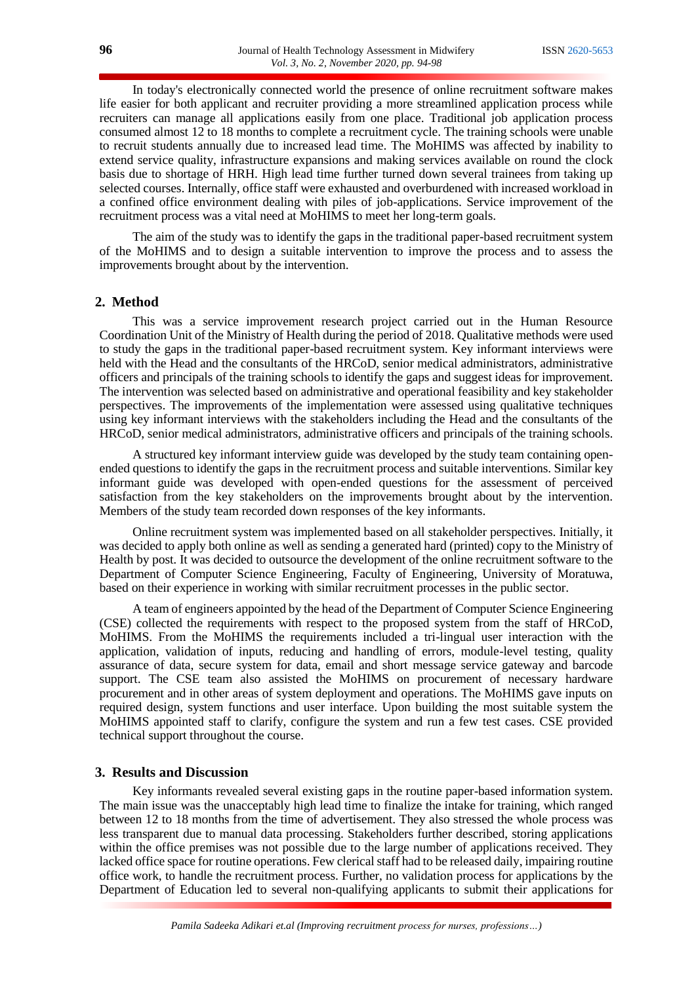In today's electronically connected world the presence of online recruitment software makes life easier for both applicant and recruiter providing a more streamlined application process while recruiters can manage all applications easily from one place. Traditional job application process consumed almost 12 to 18 months to complete a recruitment cycle. The training schools were unable to recruit students annually due to increased lead time. The MoHIMS was affected by inability to extend service quality, infrastructure expansions and making services available on round the clock basis due to shortage of HRH. High lead time further turned down several trainees from taking up selected courses. Internally, office staff were exhausted and overburdened with increased workload in a confined office environment dealing with piles of job-applications. Service improvement of the recruitment process was a vital need at MoHIMS to meet her long-term goals.

The aim of the study was to identify the gaps in the traditional paper-based recruitment system of the MoHIMS and to design a suitable intervention to improve the process and to assess the improvements brought about by the intervention.

# **2. Method**

This was a service improvement research project carried out in the Human Resource Coordination Unit of the Ministry of Health during the period of 2018. Qualitative methods were used to study the gaps in the traditional paper-based recruitment system. Key informant interviews were held with the Head and the consultants of the HRCoD, senior medical administrators, administrative officers and principals of the training schools to identify the gaps and suggest ideas for improvement. The intervention was selected based on administrative and operational feasibility and key stakeholder perspectives. The improvements of the implementation were assessed using qualitative techniques using key informant interviews with the stakeholders including the Head and the consultants of the HRCoD, senior medical administrators, administrative officers and principals of the training schools.

A structured key informant interview guide was developed by the study team containing openended questions to identify the gaps in the recruitment process and suitable interventions. Similar key informant guide was developed with open-ended questions for the assessment of perceived satisfaction from the key stakeholders on the improvements brought about by the intervention. Members of the study team recorded down responses of the key informants.

Online recruitment system was implemented based on all stakeholder perspectives. Initially, it was decided to apply both online as well as sending a generated hard (printed) copy to the Ministry of Health by post. It was decided to outsource the development of the online recruitment software to the Department of Computer Science Engineering, Faculty of Engineering, University of Moratuwa, based on their experience in working with similar recruitment processes in the public sector.

A team of engineers appointed by the head of the Department of Computer Science Engineering (CSE) collected the requirements with respect to the proposed system from the staff of HRCoD, MoHIMS. From the MoHIMS the requirements included a tri-lingual user interaction with the application, validation of inputs, reducing and handling of errors, module-level testing, quality assurance of data, secure system for data, email and short message service gateway and barcode support. The CSE team also assisted the MoHIMS on procurement of necessary hardware procurement and in other areas of system deployment and operations. The MoHIMS gave inputs on required design, system functions and user interface. Upon building the most suitable system the MoHIMS appointed staff to clarify, configure the system and run a few test cases. CSE provided technical support throughout the course.

### **3. Results and Discussion**

Key informants revealed several existing gaps in the routine paper-based information system. The main issue was the unacceptably high lead time to finalize the intake for training, which ranged between 12 to 18 months from the time of advertisement. They also stressed the whole process was less transparent due to manual data processing. Stakeholders further described, storing applications within the office premises was not possible due to the large number of applications received. They lacked office space for routine operations. Few clerical staff had to be released daily, impairing routine office work, to handle the recruitment process. Further, no validation process for applications by the Department of Education led to several non-qualifying applicants to submit their applications for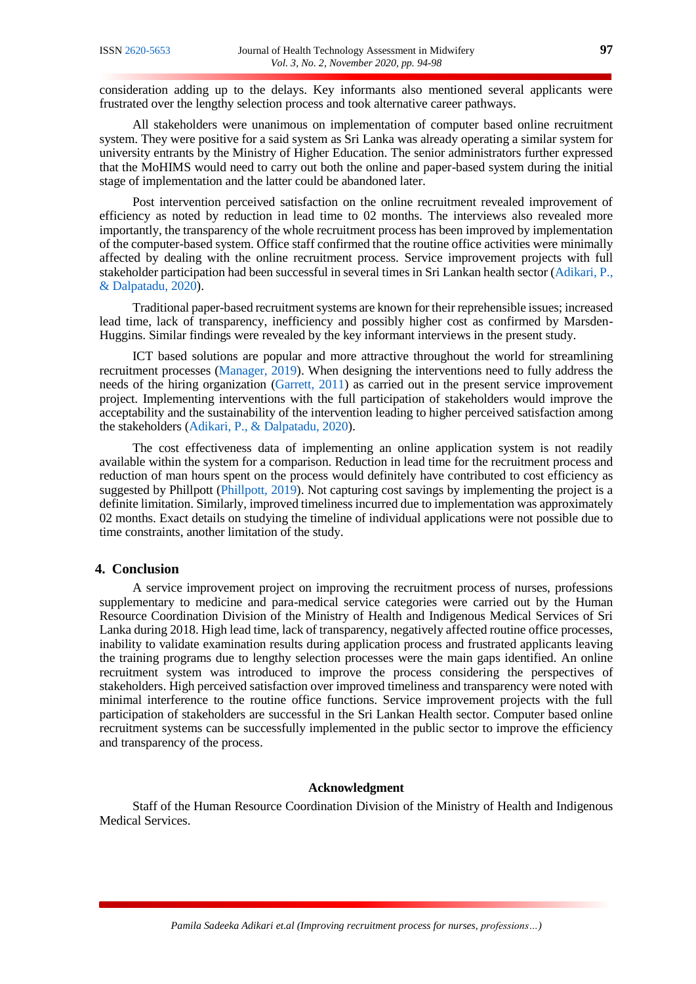consideration adding up to the delays. Key informants also mentioned several applicants were frustrated over the lengthy selection process and took alternative career pathways.

All stakeholders were unanimous on implementation of computer based online recruitment system. They were positive for a said system as Sri Lanka was already operating a similar system for university entrants by the Ministry of Higher Education. The senior administrators further expressed that the MoHIMS would need to carry out both the online and paper-based system during the initial stage of implementation and the latter could be abandoned later.

Post intervention perceived satisfaction on the online recruitment revealed improvement of efficiency as noted by reduction in lead time to 02 months. The interviews also revealed more importantly, the transparency of the whole recruitment process has been improved by implementation of the computer-based system. Office staff confirmed that the routine office activities were minimally affected by dealing with the online recruitment process. Service improvement projects with full stakeholder participation had been successful in several times in Sri Lankan health sector [\(Adikari, P.,](#page-4-10)  [& Dalpatadu, 2020\)](#page-4-10).

Traditional paper-based recruitment systems are known for their reprehensible issues; increased lead time, lack of transparency, inefficiency and possibly higher cost as confirmed by Marsden-Huggins. Similar findings were revealed by the key informant interviews in the present study.

ICT based solutions are popular and more attractive throughout the world for streamlining recruitment processes [\(Manager, 2019\)](#page-4-11). When designing the interventions need to fully address the needs of the hiring organization [\(Garrett, 2011\)](#page-4-12) as carried out in the present service improvement project. Implementing interventions with the full participation of stakeholders would improve the acceptability and the sustainability of the intervention leading to higher perceived satisfaction among the stakeholders [\(Adikari, P., & Dalpatadu, 2020\)](#page-4-10).

The cost effectiveness data of implementing an online application system is not readily available within the system for a comparison. Reduction in lead time for the recruitment process and reduction of man hours spent on the process would definitely have contributed to cost efficiency as suggested by Phillpott [\(Phillpott, 2019\)](#page-4-13). Not capturing cost savings by implementing the project is a definite limitation. Similarly, improved timeliness incurred due to implementation was approximately 02 months. Exact details on studying the timeline of individual applications were not possible due to time constraints, another limitation of the study.

# **4. Conclusion**

A service improvement project on improving the recruitment process of nurses, professions supplementary to medicine and para-medical service categories were carried out by the Human Resource Coordination Division of the Ministry of Health and Indigenous Medical Services of Sri Lanka during 2018. High lead time, lack of transparency, negatively affected routine office processes, inability to validate examination results during application process and frustrated applicants leaving the training programs due to lengthy selection processes were the main gaps identified. An online recruitment system was introduced to improve the process considering the perspectives of stakeholders. High perceived satisfaction over improved timeliness and transparency were noted with minimal interference to the routine office functions. Service improvement projects with the full participation of stakeholders are successful in the Sri Lankan Health sector. Computer based online recruitment systems can be successfully implemented in the public sector to improve the efficiency and transparency of the process.

# **Acknowledgment**

Staff of the Human Resource Coordination Division of the Ministry of Health and Indigenous Medical Services.